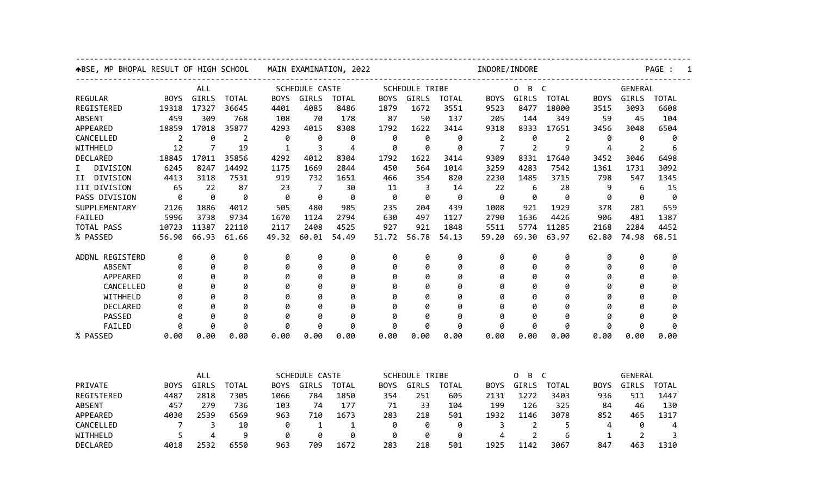| ABSE, MP BHOPAL RESULT OF HIGH SCHOOL |                              |                |              | MAIN EXAMINATION, 2022 |                       |                |             |                | INDORE/INDORE                   |                |                        |              |             |                | PAGE :       |  |  |
|---------------------------------------|------------------------------|----------------|--------------|------------------------|-----------------------|----------------|-------------|----------------|---------------------------------|----------------|------------------------|--------------|-------------|----------------|--------------|--|--|
|                                       | ALL                          |                |              | SCHEDULE CASTE         |                       |                |             | SCHEDULE TRIBE |                                 |                | B<br>$\mathsf{C}$<br>0 |              |             | <b>GENERAL</b> |              |  |  |
| <b>REGULAR</b>                        | <b>BOYS</b>                  | GIRLS          | <b>TOTAL</b> | <b>BOYS</b>            | GIRLS                 | <b>TOTAL</b>   | <b>BOYS</b> | GIRLS          | <b>TOTAL</b>                    | <b>BOYS</b>    | GIRLS                  | <b>TOTAL</b> | <b>BOYS</b> | GIRLS          | <b>TOTAL</b> |  |  |
| REGISTERED                            | 19318                        | 17327          | 36645        | 4401                   | 4085                  | 8486           | 1879        | 1672           | 3551                            | 9523           | 8477                   | 18000        | 3515        | 3093           | 6608         |  |  |
| ABSENT                                | 459                          | 309            | 768          | 108                    | 70                    | 178            | 87          | 50             | 137                             | 205            | 144                    | 349          | 59          | 45             | 104          |  |  |
| APPEARED                              | 18859                        | 17018          | 35877        | 4293                   | 4015                  | 8308           | 1792        | 1622           | 3414                            | 9318           | 8333                   | 17651        | 3456        | 3048           | 6504         |  |  |
| CANCELLED                             | $\overline{2}$               | 0              | 2            | 0                      | 0                     | 0              | 0           | 0              | 0                               | 2              | 0                      | 2            | 0           | 0              | 0            |  |  |
| WITHHELD                              | 12                           | 7              | 19           | $\mathbf{1}$           | 3                     | $\overline{4}$ | 0           | 0              | 0                               | $\overline{7}$ | 2                      | 9            | 4           | 2              | 6            |  |  |
| DECLARED                              | 18845                        | 17011          | 35856        | 4292                   | 4012                  | 8304           | 1792        | 1622           | 3414                            | 9309           | 8331                   | 17640        | 3452        | 3046           | 6498         |  |  |
| DIVISION<br>I.                        | 6245                         | 8247           | 14492        | 1175                   | 1669                  | 2844           | 450         | 564            | 1014                            | 3259           | 4283                   | 7542         | 1361        | 1731           | 3092         |  |  |
| II DIVISION                           | 4413                         | 3118           | 7531         | 919                    | 732                   | 1651           | 466         | 354            | 820                             | 2230           | 1485                   | 3715         | 798         | 547            | 1345         |  |  |
| III DIVISION                          | 65                           | 22             | 87           | 23                     | 7                     | 30             | 11          | 3              | 14                              | 22             | 6                      | 28           | 9           | 6              | 15           |  |  |
| PASS DIVISION                         | 0                            | 0              | 0            | 0                      | 0                     | 0              | 0           | 0              | 0                               | 0              | 0                      | 0            | 0           | 0              | 0            |  |  |
| SUPPLEMENTARY                         | 2126                         | 1886           | 4012         | 505                    | 480                   | 985            | 235         | 204            | 439                             | 1008           | 921                    | 1929         | 378         | 281            | 659          |  |  |
| FAILED                                | 5996                         | 3738           | 9734         | 1670                   | 1124                  | 2794           | 630         | 497            | 1127                            | 2790           | 1636                   | 4426         | 906         | 481            | 1387         |  |  |
| TOTAL PASS                            | 10723                        | 11387          | 22110        | 2117                   | 2408                  | 4525           | 927         | 921            | 1848                            | 5511           | 5774                   | 11285        | 2168        | 2284           | 4452         |  |  |
| % PASSED                              | 56.90                        | 66.93          | 61.66        | 49.32                  | 60.01                 | 54.49          | 51.72       | 56.78          | 54.13                           | 59.20          | 69.30                  | 63.97        | 62.80       | 74.98          | 68.51        |  |  |
| ADDNL REGISTERD                       | 0                            | 0              | 0            | 0                      | 0                     | 0              | 0           | 0              | 0                               | 0              | 0                      | 0            | 0           | 0              | 0            |  |  |
| <b>ABSENT</b>                         | 0                            | 0              | 0            | 0                      | 0                     | 0              | 0           | 0              | 0                               | 0              | 0                      | 0            | 0           | 0              | 0            |  |  |
| APPEARED                              | 0                            | 0              | 0            | 0                      | 0                     | 0              | 0           | 0              | 0                               | 0              | 0                      | 0            | 0           | Ø              | 0            |  |  |
| CANCELLED                             | 0                            | 0              | 0            | 0                      | 0                     | 0              | 0           | Ø              | 0                               | 0              | 0                      | 0            | 0           | Ø              | 0            |  |  |
| WITHHELD                              | 0                            | ø              | 0            | 0                      | 0                     | 0              | 0           | ø              | 0                               | ø              | 0                      | 0            | 0           | 0              | 0            |  |  |
| DECLARED                              | 0                            | ø              | 0            | 0                      | 0                     | 0              | 0           | ø              | 0                               | ø              | 0                      | 0            | ø           | Ø              | 0            |  |  |
| <b>PASSED</b>                         | 0                            | ø              | Ø            | 0                      | 0                     | 0              | 0           | Ø              | Ø                               | ø              | 0                      | 0            | ø           | ø              | ø            |  |  |
| FAILED                                | 0                            | ø              | ø            | 0                      | ø                     | ø              | 0           | ø              | ø                               | 0              | ø                      | ø            | 0           | 0              | 0            |  |  |
| % PASSED                              | 0.00                         | 0.00           | 0.00         | 0.00                   | 0.00                  | 0.00           | 0.00        | 0.00           | 0.00                            | 0.00           | 0.00                   | 0.00         | 0.00        | 0.00           | 0.00         |  |  |
|                                       |                              |                |              |                        |                       |                |             |                |                                 |                |                        |              |             |                |              |  |  |
|                                       | ALL<br><b>SCHEDULE CASTE</b> |                |              |                        | <b>SCHEDULE TRIBE</b> |                |             |                | B<br>$\mathsf{C}$<br>0<br>GIRLS |                |                        |              | GENERAL     |                |              |  |  |
| PRIVATE                               | <b>BOYS</b>                  | GIRLS          | <b>TOTAL</b> | <b>BOYS</b>            | GIRLS                 | <b>TOTAL</b>   | <b>BOYS</b> | GIRLS          | <b>TOTAL</b>                    | <b>BOYS</b>    |                        | <b>TOTAL</b> | <b>BOYS</b> | GIRLS          | <b>TOTAL</b> |  |  |
| REGISTERED                            | 4487                         | 2818           | 7305         | 1066                   | 784                   | 1850           | 354         | 251            | 605                             | 2131           | 1272                   | 3403         | 936         | 511            | 1447         |  |  |
| <b>ABSENT</b>                         | 457                          | 279            | 736          | 103                    | 74                    | 177            | 71          | 33             | 104                             | 199            | 126                    | 325          | 84          | 46             | 130          |  |  |
| APPEARED                              | 4030                         | 2539           | 6569         | 963                    | 710                   | 1673           | 283         | 218            | 501                             | 1932           | 1146                   | 3078         | 852         | 465            | 1317         |  |  |
| CANCELLED                             | 7                            | 3              | 10           | 0                      | 1                     | 1              | 0           | 0              | 0                               | 3              | $\overline{2}$         | 5            | 4           | 0              | 4            |  |  |
| WITHHELD                              | 5                            | $\overline{4}$ | 9            | 0                      | 0                     | 0              | 0           | 0              | 0                               | 4              | $\overline{2}$         | 6            | 1           | 2              | 3            |  |  |
| DECLARED                              | 4018                         | 2532           | 6550         | 963                    | 709                   | 1672           | 283         | 218            | 501                             | 1925           | 1142                   | 3067         | 847         | 463            | 1310         |  |  |